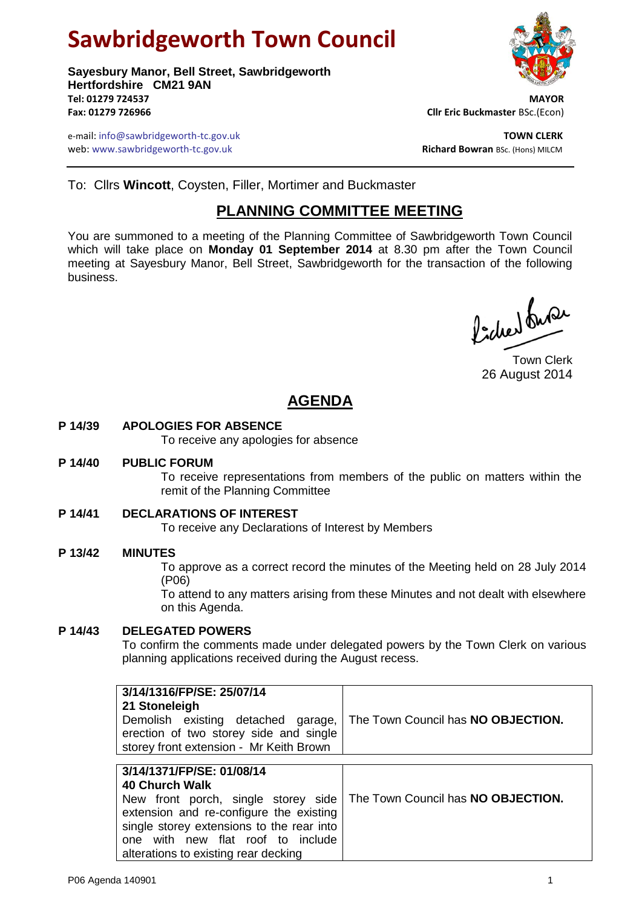# **Sawbridgeworth Town Council**

**Sayesbury Manor, Bell Street, Sawbridgeworth Hertfordshire CM21 9AN Tel: 01279 724537 MAYOR Fax: 01279 726966 Cllr Eric Buckmaster** BSc.(Econ)

e-mail: info@sawbridgeworth-tc.gov.uk **TOWN CLERK** web: www.sawbridgeworth-tc.gov.uk



To: Cllrs **Wincott**, Coysten, Filler, Mortimer and Buckmaster

# **PLANNING COMMITTEE MEETING**

You are summoned to a meeting of the Planning Committee of Sawbridgeworth Town Council which will take place on **Monday 01 September 2014** at 8.30 pm after the Town Council meeting at Sayesbury Manor, Bell Street, Sawbridgeworth for the transaction of the following business.

faction busi

Town Clerk 26 August 2014

# **AGENDA**

## **P 14/39 APOLOGIES FOR ABSENCE**

To receive any apologies for absence

extension and re-configure the existing single storey extensions to the rear into one with new flat roof to include

alterations to existing rear decking

#### **P 14/40 PUBLIC FORUM**

To receive representations from members of the public on matters within the remit of the Planning Committee

#### **P 14/41 DECLARATIONS OF INTEREST**

To receive any Declarations of Interest by Members

#### **P 13/42 MINUTES**

To approve as a correct record the minutes of the Meeting held on 28 July 2014 (P06)

To attend to any matters arising from these Minutes and not dealt with elsewhere on this Agenda.

## **P 14/43 DELEGATED POWERS**

To confirm the comments made under delegated powers by the Town Clerk on various planning applications received during the August recess.

| 3/14/1316/FP/SE: 25/07/14<br>21 Stoneleigh<br>Demolish existing detached garage,<br>erection of two storey side and single<br>storey front extension - Mr Keith Brown | The Town Council has NO OBJECTION. |
|-----------------------------------------------------------------------------------------------------------------------------------------------------------------------|------------------------------------|
|                                                                                                                                                                       |                                    |
| 3/14/1371/FP/SE: 01/08/14<br>40 Church Walk                                                                                                                           |                                    |
| New front porch, single storey side   The Town Council has NO OBJECTION.                                                                                              |                                    |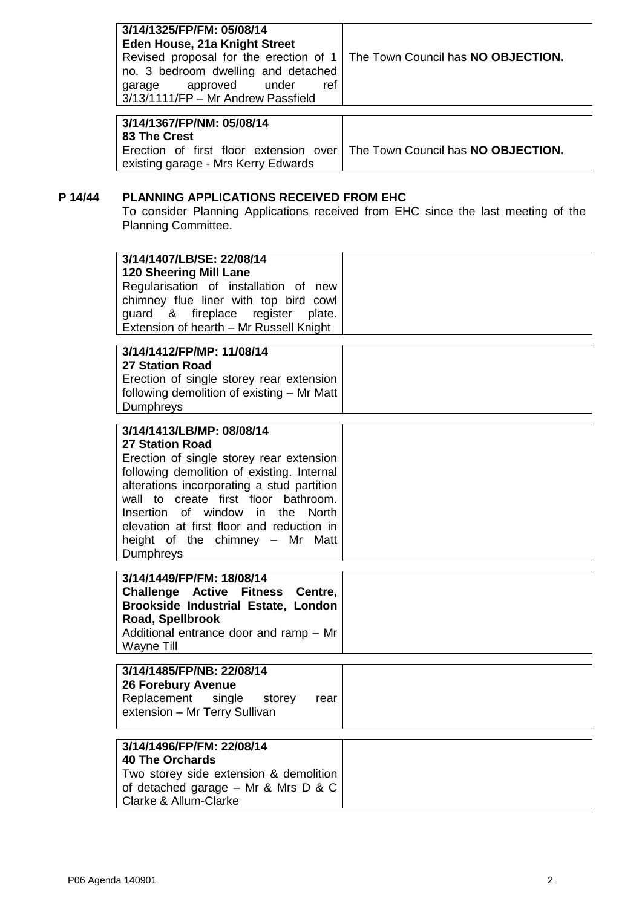| 3/14/1325/FP/FM: 05/08/14<br>Eden House, 21a Knight Street                                                |                                                                                     |
|-----------------------------------------------------------------------------------------------------------|-------------------------------------------------------------------------------------|
| no. 3 bedroom dwelling and detached<br>garage approved under<br>ref<br>3/13/1111/FP - Mr Andrew Passfield | Revised proposal for the erection of 1   The Town Council has <b>NO OBJECTION</b> . |
|                                                                                                           |                                                                                     |

| 3/14/1367/FP/NM: 05/08/14<br>l 83 The Crest                                                                        |  |
|--------------------------------------------------------------------------------------------------------------------|--|
| Erection of first floor extension over   The Town Council has NO OBJECTION.<br>existing garage - Mrs Kerry Edwards |  |

# **P 14/44 PLANNING APPLICATIONS RECEIVED FROM EHC**

To consider Planning Applications received from EHC since the last meeting of the Planning Committee.

| 3/14/1407/LB/SE: 22/08/14<br><b>120 Sheering Mill Lane</b><br>Regularisation of installation of new<br>chimney flue liner with top bird cowl<br>&<br>fireplace<br>register<br>guard<br>plate.<br>Extension of hearth - Mr Russell Knight                                                                                                                                          |  |
|-----------------------------------------------------------------------------------------------------------------------------------------------------------------------------------------------------------------------------------------------------------------------------------------------------------------------------------------------------------------------------------|--|
| 3/14/1412/FP/MP: 11/08/14<br><b>27 Station Road</b><br>Erection of single storey rear extension<br>following demolition of existing - Mr Matt<br>Dumphreys                                                                                                                                                                                                                        |  |
| 3/14/1413/LB/MP: 08/08/14<br><b>27 Station Road</b><br>Erection of single storey rear extension<br>following demolition of existing. Internal<br>alterations incorporating a stud partition<br>wall to create first floor bathroom.<br>of window in the<br>Insertion<br><b>North</b><br>elevation at first floor and reduction in<br>height of the chimney - Mr Matt<br>Dumphreys |  |
| 3/14/1449/FP/FM: 18/08/14<br>Challenge Active Fitness Centre,<br>Brookside Industrial Estate, London<br>Road, Spellbrook<br>Additional entrance door and ramp - Mr<br><b>Wayne Till</b>                                                                                                                                                                                           |  |
| 3/14/1485/FP/NB: 22/08/14<br><b>26 Forebury Avenue</b><br>Replacement<br>single<br>storey<br>rear<br>extension - Mr Terry Sullivan                                                                                                                                                                                                                                                |  |
| 3/14/1496/FP/FM: 22/08/14<br><b>40 The Orchards</b><br>Two storey side extension & demolition<br>of detached garage $-$ Mr & Mrs D & C<br>Clarke & Allum-Clarke                                                                                                                                                                                                                   |  |